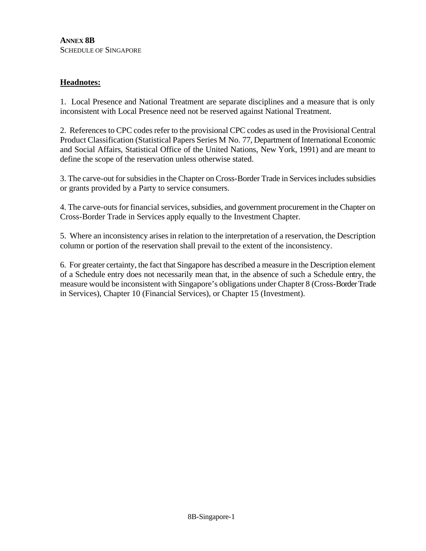## **Headnotes:**

1. Local Presence and National Treatment are separate disciplines and a measure that is only inconsistent with Local Presence need not be reserved against National Treatment.

2. References to CPC codes refer to the provisional CPC codes as used in the Provisional Central Product Classification (Statistical Papers Series M No. 77, Department of International Economic and Social Affairs, Statistical Office of the United Nations, New York, 1991) and are meant to define the scope of the reservation unless otherwise stated.

3. The carve-out for subsidies in the Chapter on Cross-Border Trade in Services includes subsidies or grants provided by a Party to service consumers.

4. The carve-outs for financial services, subsidies, and government procurement in the Chapter on Cross-Border Trade in Services apply equally to the Investment Chapter.

5. Where an inconsistency arises in relation to the interpretation of a reservation, the Description column or portion of the reservation shall prevail to the extent of the inconsistency.

6. For greater certainty, the fact that Singapore has described a measure in the Description element of a Schedule entry does not necessarily mean that, in the absence of such a Schedule entry, the measure would be inconsistent with Singapore's obligations under Chapter 8 (Cross-Border Trade in Services), Chapter 10 (Financial Services), or Chapter 15 (Investment).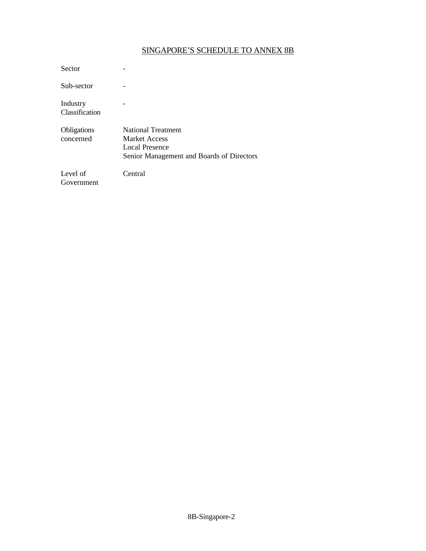## SINGAPORE'S SCHEDULE TO ANNEX 8B

| Sector                     |                                                                                                           |
|----------------------------|-----------------------------------------------------------------------------------------------------------|
| Sub-sector                 |                                                                                                           |
| Industry<br>Classification |                                                                                                           |
| Obligations<br>concerned   | <b>National Treatment</b><br>Market Access<br>Local Presence<br>Senior Management and Boards of Directors |
| Level of<br>Government     | Central                                                                                                   |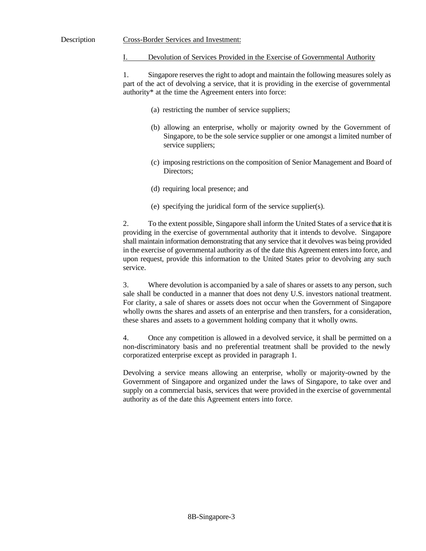## Devolution of Services Provided in the Exercise of Governmental Authority

1. Singapore reserves the right to adopt and maintain the following measures solely as part of the act of devolving a service, that it is providing in the exercise of governmental authority\* at the time the Agreement enters into force:

- (a) restricting the number of service suppliers;
- (b) allowing an enterprise, wholly or majority owned by the Government of Singapore, to be the sole service supplier or one amongst a limited number of service suppliers;
- (c) imposing restrictions on the composition of Senior Management and Board of Directors;
- (d) requiring local presence; and
- (e) specifying the juridical form of the service supplier(s).

2. To the extent possible, Singapore shall inform the United States of a service that it is providing in the exercise of governmental authority that it intends to devolve. Singapore shall maintain information demonstrating that any service that it devolves was being provided in the exercise of governmental authority as of the date this Agreement enters into force, and upon request, provide this information to the United States prior to devolving any such service.

3. Where devolution is accompanied by a sale of shares or assets to any person, such sale shall be conducted in a manner that does not deny U.S. investors national treatment. For clarity, a sale of shares or assets does not occur when the Government of Singapore wholly owns the shares and assets of an enterprise and then transfers, for a consideration, these shares and assets to a government holding company that it wholly owns.

4. Once any competition is allowed in a devolved service, it shall be permitted on a non-discriminatory basis and no preferential treatment shall be provided to the newly corporatized enterprise except as provided in paragraph 1.

Devolving a service means allowing an enterprise, wholly or majority-owned by the Government of Singapore and organized under the laws of Singapore, to take over and supply on a commercial basis, services that were provided in the exercise of governmental authority as of the date this Agreement enters into force.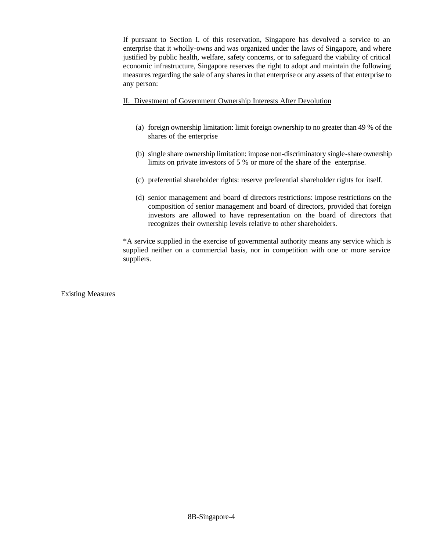If pursuant to Section I. of this reservation, Singapore has devolved a service to an enterprise that it wholly-owns and was organized under the laws of Singapore, and where justified by public health, welfare, safety concerns, or to safeguard the viability of critical economic infrastructure, Singapore reserves the right to adopt and maintain the following measures regarding the sale of any shares in that enterprise or any assets of that enterprise to any person:

## II. Divestment of Government Ownership Interests After Devolution

- (a) foreign ownership limitation: limit foreign ownership to no greater than 49 % of the shares of the enterprise
- (b) single share ownership limitation: impose non-discriminatory single-share ownership limits on private investors of 5 % or more of the share of the enterprise.
- (c) preferential shareholder rights: reserve preferential shareholder rights for itself.
- (d) senior management and board of directors restrictions: impose restrictions on the composition of senior management and board of directors, provided that foreign investors are allowed to have representation on the board of directors that recognizes their ownership levels relative to other shareholders.

\*A service supplied in the exercise of governmental authority means any service which is supplied neither on a commercial basis, nor in competition with one or more service suppliers.

Existing Measures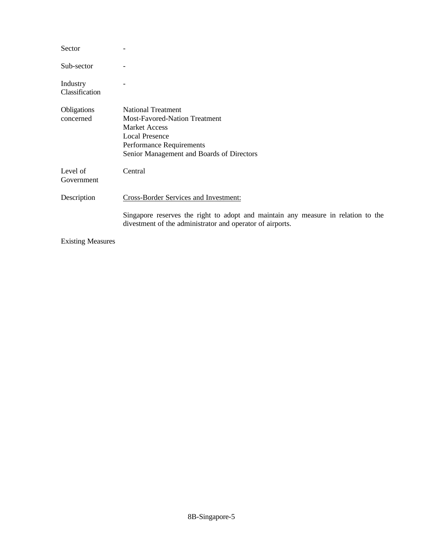| Sector                     |                                                                                                                                                                                             |
|----------------------------|---------------------------------------------------------------------------------------------------------------------------------------------------------------------------------------------|
| Sub-sector                 |                                                                                                                                                                                             |
| Industry<br>Classification |                                                                                                                                                                                             |
| Obligations<br>concerned   | <b>National Treatment</b><br><b>Most-Favored-Nation Treatment</b><br><b>Market Access</b><br><b>Local Presence</b><br>Performance Requirements<br>Senior Management and Boards of Directors |
| Level of<br>Government     | Central                                                                                                                                                                                     |
| Description                | <b>Cross-Border Services and Investment:</b>                                                                                                                                                |
|                            | Singapore reserves the right to adopt and maintain any measure in relation to the<br>divestment of the administrator and operator of airports.                                              |
| $E_{\text{rel}}(t)$        |                                                                                                                                                                                             |

Existing Measures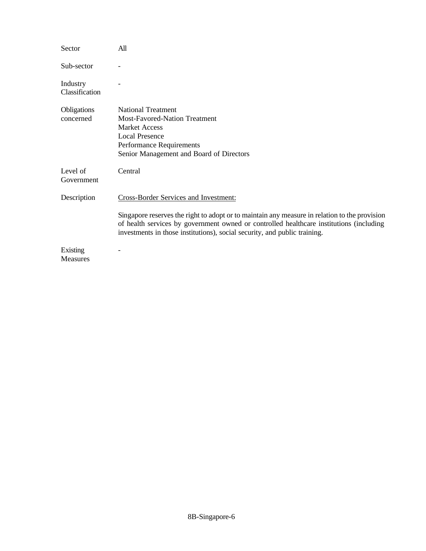| Sector                     | All                                                                                                                                                                                                                                                                                                            |
|----------------------------|----------------------------------------------------------------------------------------------------------------------------------------------------------------------------------------------------------------------------------------------------------------------------------------------------------------|
| Sub-sector                 |                                                                                                                                                                                                                                                                                                                |
| Industry<br>Classification |                                                                                                                                                                                                                                                                                                                |
| Obligations<br>concerned   | <b>National Treatment</b><br><b>Most-Favored-Nation Treatment</b><br><b>Market Access</b><br><b>Local Presence</b><br>Performance Requirements<br>Senior Management and Board of Directors                                                                                                                     |
| Level of<br>Government     | Central                                                                                                                                                                                                                                                                                                        |
| Description                | Cross-Border Services and Investment:<br>Singapore reserves the right to adopt or to maintain any measure in relation to the provision<br>of health services by government owned or controlled healthcare institutions (including<br>investments in those institutions), social security, and public training. |
| Existing<br>Measures       |                                                                                                                                                                                                                                                                                                                |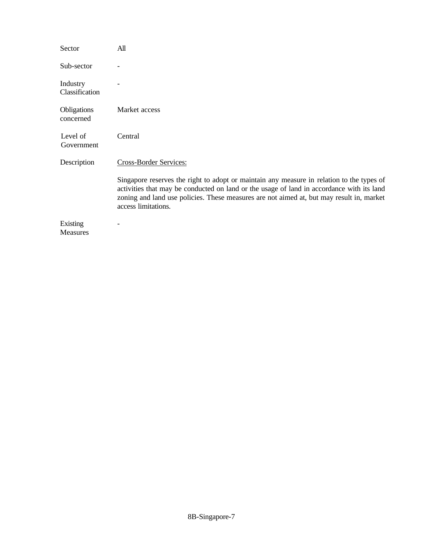| Sector                      | All                                                                                                                                                                                                                                                                                                       |
|-----------------------------|-----------------------------------------------------------------------------------------------------------------------------------------------------------------------------------------------------------------------------------------------------------------------------------------------------------|
| Sub-sector                  |                                                                                                                                                                                                                                                                                                           |
| Industry<br>Classification  |                                                                                                                                                                                                                                                                                                           |
| Obligations<br>concerned    | Market access                                                                                                                                                                                                                                                                                             |
| Level of<br>Government      | Central                                                                                                                                                                                                                                                                                                   |
| Description                 | Cross-Border Services:                                                                                                                                                                                                                                                                                    |
|                             | Singapore reserves the right to adopt or maintain any measure in relation to the types of<br>activities that may be conducted on land or the usage of land in accordance with its land<br>zoning and land use policies. These measures are not aimed at, but may result in, market<br>access limitations. |
| Existing<br><b>Measures</b> |                                                                                                                                                                                                                                                                                                           |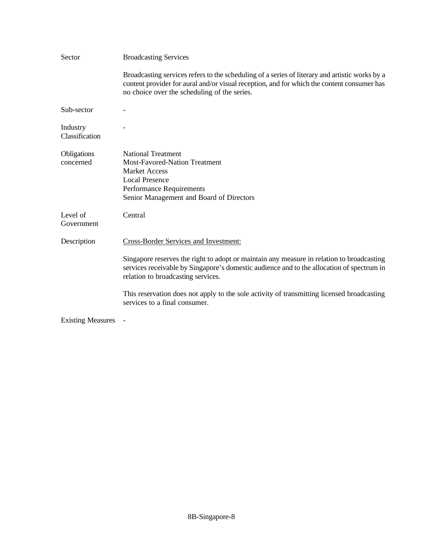| Sector                     | <b>Broadcasting Services</b>                                                                                                                                                                                                                 |
|----------------------------|----------------------------------------------------------------------------------------------------------------------------------------------------------------------------------------------------------------------------------------------|
|                            | Broadcasting services refers to the scheduling of a series of literary and artistic works by a<br>content provider for aural and/or visual reception, and for which the content consumer has<br>no choice over the scheduling of the series. |
| Sub-sector                 |                                                                                                                                                                                                                                              |
| Industry<br>Classification |                                                                                                                                                                                                                                              |
| Obligations<br>concerned   | <b>National Treatment</b><br><b>Most-Favored-Nation Treatment</b><br><b>Market Access</b><br><b>Local Presence</b><br>Performance Requirements<br>Senior Management and Board of Directors                                                   |
| Level of<br>Government     | Central                                                                                                                                                                                                                                      |
| Description                | Cross-Border Services and Investment:                                                                                                                                                                                                        |
|                            | Singapore reserves the right to adopt or maintain any measure in relation to broadcasting<br>services receivable by Singapore's domestic audience and to the allocation of spectrum in<br>relation to broadcasting services.                 |
|                            | This reservation does not apply to the sole activity of transmitting licensed broadcasting<br>services to a final consumer.                                                                                                                  |
| <b>Existing Measures</b>   |                                                                                                                                                                                                                                              |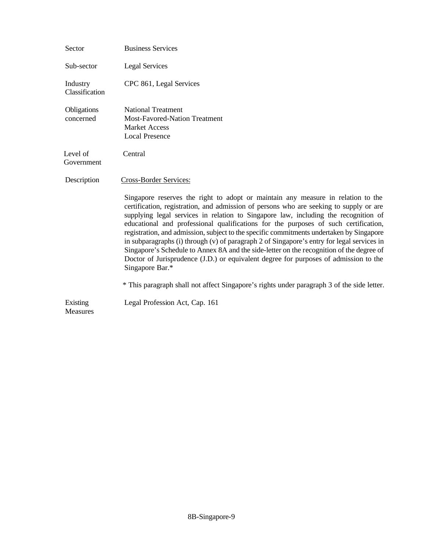| Sector                      | <b>Business Services</b>                                                                                                                                                                                                                                                                                                                                                                                                                                                                                                                                                                                                                                                                                                                                    |
|-----------------------------|-------------------------------------------------------------------------------------------------------------------------------------------------------------------------------------------------------------------------------------------------------------------------------------------------------------------------------------------------------------------------------------------------------------------------------------------------------------------------------------------------------------------------------------------------------------------------------------------------------------------------------------------------------------------------------------------------------------------------------------------------------------|
| Sub-sector                  | <b>Legal Services</b>                                                                                                                                                                                                                                                                                                                                                                                                                                                                                                                                                                                                                                                                                                                                       |
| Industry<br>Classification  | CPC 861, Legal Services                                                                                                                                                                                                                                                                                                                                                                                                                                                                                                                                                                                                                                                                                                                                     |
| Obligations<br>concerned    | <b>National Treatment</b><br><b>Most-Favored-Nation Treatment</b><br><b>Market Access</b><br><b>Local Presence</b>                                                                                                                                                                                                                                                                                                                                                                                                                                                                                                                                                                                                                                          |
| Level of<br>Government      | Central                                                                                                                                                                                                                                                                                                                                                                                                                                                                                                                                                                                                                                                                                                                                                     |
| Description                 | Cross-Border Services:                                                                                                                                                                                                                                                                                                                                                                                                                                                                                                                                                                                                                                                                                                                                      |
|                             | Singapore reserves the right to adopt or maintain any measure in relation to the<br>certification, registration, and admission of persons who are seeking to supply or are<br>supplying legal services in relation to Singapore law, including the recognition of<br>educational and professional qualifications for the purposes of such certification,<br>registration, and admission, subject to the specific commitments undertaken by Singapore<br>in subparagraphs (i) through $(v)$ of paragraph 2 of Singapore's entry for legal services in<br>Singapore's Schedule to Annex 8A and the side-letter on the recognition of the degree of<br>Doctor of Jurisprudence (J.D.) or equivalent degree for purposes of admission to the<br>Singapore Bar.* |
|                             | * This paragraph shall not affect Singapore's rights under paragraph 3 of the side letter.                                                                                                                                                                                                                                                                                                                                                                                                                                                                                                                                                                                                                                                                  |
| Existing<br><b>Measures</b> | Legal Profession Act, Cap. 161                                                                                                                                                                                                                                                                                                                                                                                                                                                                                                                                                                                                                                                                                                                              |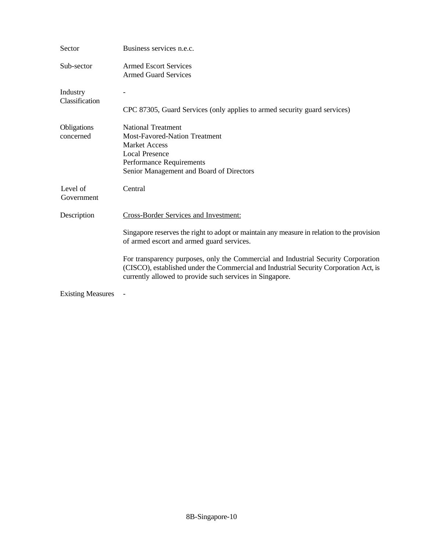| Sector                     | Business services n.e.c.                                                                                                                                                                                                                |
|----------------------------|-----------------------------------------------------------------------------------------------------------------------------------------------------------------------------------------------------------------------------------------|
| Sub-sector                 | <b>Armed Escort Services</b><br><b>Armed Guard Services</b>                                                                                                                                                                             |
| Industry<br>Classification | CPC 87305, Guard Services (only applies to armed security guard services)                                                                                                                                                               |
| Obligations<br>concerned   | <b>National Treatment</b><br><b>Most-Favored-Nation Treatment</b><br><b>Market Access</b><br><b>Local Presence</b><br>Performance Requirements<br>Senior Management and Board of Directors                                              |
| Level of<br>Government     | Central                                                                                                                                                                                                                                 |
| Description                | <b>Cross-Border Services and Investment:</b>                                                                                                                                                                                            |
|                            | Singapore reserves the right to adopt or maintain any measure in relation to the provision<br>of armed escort and armed guard services.                                                                                                 |
|                            | For transparency purposes, only the Commercial and Industrial Security Corporation<br>(CISCO), established under the Commercial and Industrial Security Corporation Act, is<br>currently allowed to provide such services in Singapore. |
| <b>Existing Measures</b>   |                                                                                                                                                                                                                                         |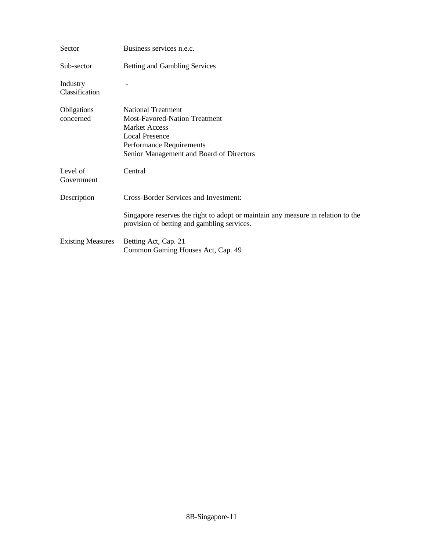| Sector                     | Business services n.e.c.                                                                                                                                                                   |
|----------------------------|--------------------------------------------------------------------------------------------------------------------------------------------------------------------------------------------|
| Sub-sector                 | Betting and Gambling Services                                                                                                                                                              |
| Industry<br>Classification |                                                                                                                                                                                            |
| Obligations<br>concerned   | <b>National Treatment</b><br><b>Most-Favored-Nation Treatment</b><br><b>Market Access</b><br><b>Local Presence</b><br>Performance Requirements<br>Senior Management and Board of Directors |
| Level of<br>Government     | Central                                                                                                                                                                                    |
| Description                | <b>Cross-Border Services and Investment:</b>                                                                                                                                               |
|                            | Singapore reserves the right to adopt or maintain any measure in relation to the<br>provision of betting and gambling services.                                                            |
| <b>Existing Measures</b>   | Betting Act, Cap. 21<br>Common Gaming Houses Act, Cap. 49                                                                                                                                  |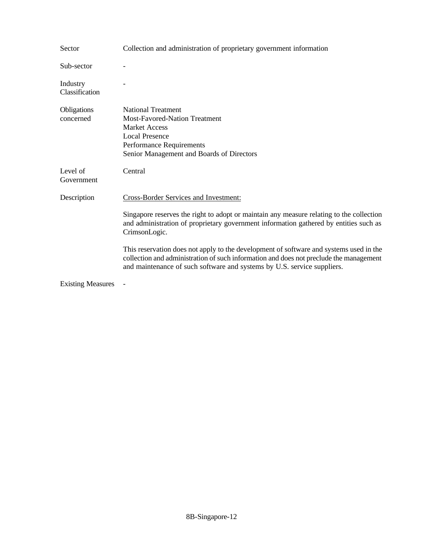| Sector                     | Collection and administration of proprietary government information                                                                                                                                                                                         |
|----------------------------|-------------------------------------------------------------------------------------------------------------------------------------------------------------------------------------------------------------------------------------------------------------|
| Sub-sector                 |                                                                                                                                                                                                                                                             |
| Industry<br>Classification |                                                                                                                                                                                                                                                             |
| Obligations<br>concerned   | <b>National Treatment</b><br><b>Most-Favored-Nation Treatment</b><br><b>Market Access</b><br><b>Local Presence</b><br>Performance Requirements<br>Senior Management and Boards of Directors                                                                 |
| Level of<br>Government     | Central                                                                                                                                                                                                                                                     |
| Description                | Cross-Border Services and Investment:                                                                                                                                                                                                                       |
|                            | Singapore reserves the right to adopt or maintain any measure relating to the collection<br>and administration of proprietary government information gathered by entities such as<br>CrimsonLogic.                                                          |
|                            | This reservation does not apply to the development of software and systems used in the<br>collection and administration of such information and does not preclude the management<br>and maintenance of such software and systems by U.S. service suppliers. |
| <b>Existing Measures</b>   |                                                                                                                                                                                                                                                             |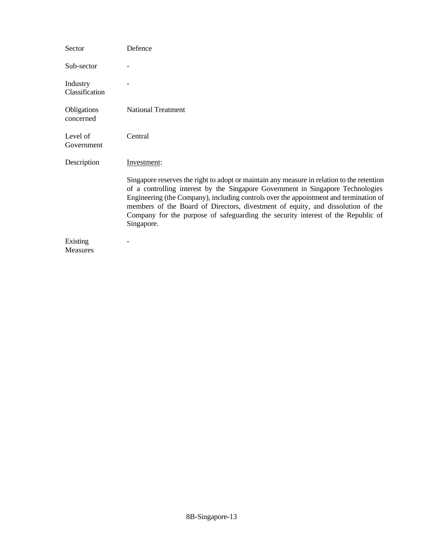| Sector                      | Defence                                                                                                                                                                                                                                                                                                                                                                                                                                                     |
|-----------------------------|-------------------------------------------------------------------------------------------------------------------------------------------------------------------------------------------------------------------------------------------------------------------------------------------------------------------------------------------------------------------------------------------------------------------------------------------------------------|
| Sub-sector                  |                                                                                                                                                                                                                                                                                                                                                                                                                                                             |
| Industry<br>Classification  |                                                                                                                                                                                                                                                                                                                                                                                                                                                             |
| Obligations<br>concerned    | <b>National Treatment</b>                                                                                                                                                                                                                                                                                                                                                                                                                                   |
| Level of<br>Government      | Central                                                                                                                                                                                                                                                                                                                                                                                                                                                     |
| Description                 | Investment:                                                                                                                                                                                                                                                                                                                                                                                                                                                 |
|                             | Singapore reserves the right to adopt or maintain any measure in relation to the retention<br>of a controlling interest by the Singapore Government in Singapore Technologies<br>Engineering (the Company), including controls over the appointment and termination of<br>members of the Board of Directors, divestment of equity, and dissolution of the<br>Company for the purpose of safeguarding the security interest of the Republic of<br>Singapore. |
| Existing<br><b>Measures</b> |                                                                                                                                                                                                                                                                                                                                                                                                                                                             |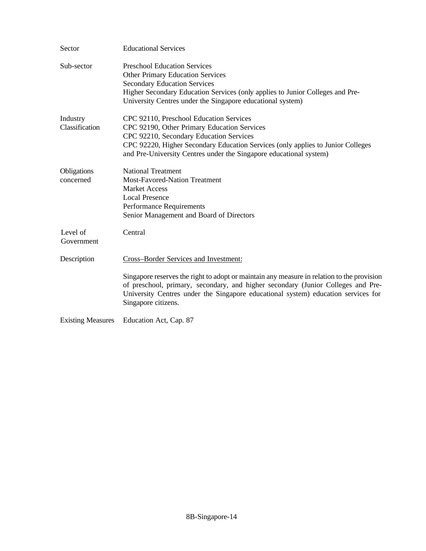| Sector                     | <b>Educational Services</b>                                                                                                                                                                                                                                                                                                         |
|----------------------------|-------------------------------------------------------------------------------------------------------------------------------------------------------------------------------------------------------------------------------------------------------------------------------------------------------------------------------------|
| Sub-sector                 | <b>Preschool Education Services</b><br><b>Other Primary Education Services</b><br><b>Secondary Education Services</b><br>Higher Secondary Education Services (only applies to Junior Colleges and Pre-<br>University Centres under the Singapore educational system)                                                                |
| Industry<br>Classification | CPC 92110, Preschool Education Services<br>CPC 92190, Other Primary Education Services<br>CPC 92210, Secondary Education Services<br>CPC 92220, Higher Secondary Education Services (only applies to Junior Colleges<br>and Pre-University Centres under the Singapore educational system)                                          |
| Obligations<br>concerned   | <b>National Treatment</b><br><b>Most-Favored-Nation Treatment</b><br><b>Market Access</b><br><b>Local Presence</b><br><b>Performance Requirements</b><br>Senior Management and Board of Directors                                                                                                                                   |
| Level of<br>Government     | Central                                                                                                                                                                                                                                                                                                                             |
| Description                | Cross-Border Services and Investment:<br>Singapore reserves the right to adopt or maintain any measure in relation to the provision<br>of preschool, primary, secondary, and higher secondary (Junior Colleges and Pre-<br>University Centres under the Singapore educational system) education services for<br>Singapore citizens. |
| <b>Existing Measures</b>   | Education Act, Cap. 87                                                                                                                                                                                                                                                                                                              |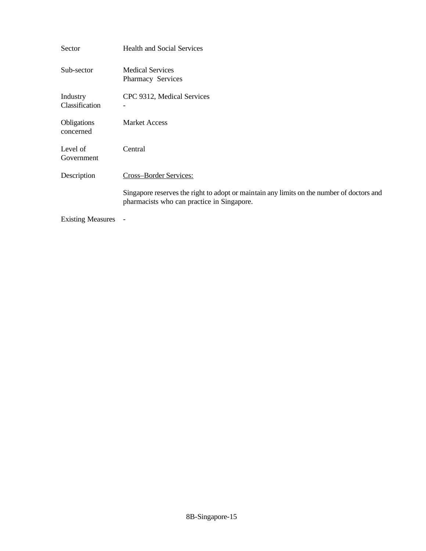| Sector                     | <b>Health and Social Services</b>                                                                                                       |
|----------------------------|-----------------------------------------------------------------------------------------------------------------------------------------|
| Sub-sector                 | <b>Medical Services</b><br>Pharmacy Services                                                                                            |
| Industry<br>Classification | CPC 9312, Medical Services                                                                                                              |
| Obligations<br>concerned   | <b>Market Access</b>                                                                                                                    |
| Level of<br>Government     | Central                                                                                                                                 |
| Description                | Cross-Border Services:                                                                                                                  |
|                            | Singapore reserves the right to adopt or maintain any limits on the number of doctors and<br>pharmacists who can practice in Singapore. |

Existing Measures -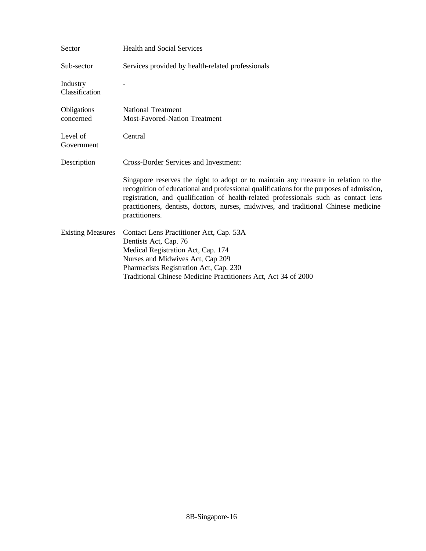| Sector                     | <b>Health and Social Services</b>                                                                                                                                                                                                                                                                                                                                                  |
|----------------------------|------------------------------------------------------------------------------------------------------------------------------------------------------------------------------------------------------------------------------------------------------------------------------------------------------------------------------------------------------------------------------------|
| Sub-sector                 | Services provided by health-related professionals                                                                                                                                                                                                                                                                                                                                  |
| Industry<br>Classification |                                                                                                                                                                                                                                                                                                                                                                                    |
| Obligations<br>concerned   | <b>National Treatment</b><br><b>Most-Favored-Nation Treatment</b>                                                                                                                                                                                                                                                                                                                  |
| Level of<br>Government     | Central                                                                                                                                                                                                                                                                                                                                                                            |
| Description                | <b>Cross-Border Services and Investment:</b>                                                                                                                                                                                                                                                                                                                                       |
|                            | Singapore reserves the right to adopt or to maintain any measure in relation to the<br>recognition of educational and professional qualifications for the purposes of admission,<br>registration, and qualification of health-related professionals such as contact lens<br>practitioners, dentists, doctors, nurses, midwives, and traditional Chinese medicine<br>practitioners. |
| <b>Existing Measures</b>   | Contact Lens Practitioner Act, Cap. 53A<br>Dentists Act, Cap. 76<br>Medical Registration Act, Cap. 174<br>Nurses and Midwives Act, Cap 209<br>Pharmacists Registration Act, Cap. 230<br>Traditional Chinese Medicine Practitioners Act, Act 34 of 2000                                                                                                                             |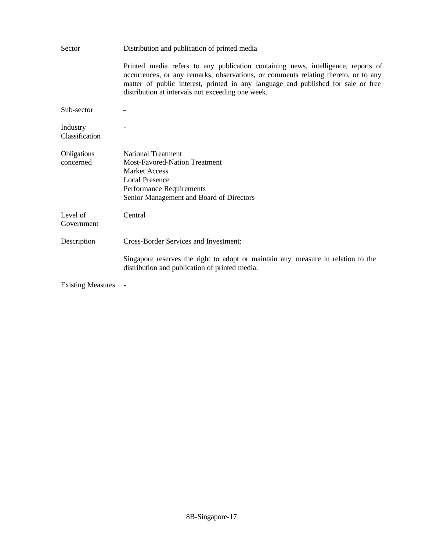| Sector                     | Distribution and publication of printed media                                                                                                                                                                                                                                                                     |
|----------------------------|-------------------------------------------------------------------------------------------------------------------------------------------------------------------------------------------------------------------------------------------------------------------------------------------------------------------|
|                            | Printed media refers to any publication containing news, intelligence, reports of<br>occurrences, or any remarks, observations, or comments relating thereto, or to any<br>matter of public interest, printed in any language and published for sale or free<br>distribution at intervals not exceeding one week. |
| Sub-sector                 |                                                                                                                                                                                                                                                                                                                   |
| Industry<br>Classification |                                                                                                                                                                                                                                                                                                                   |
| Obligations<br>concerned   | <b>National Treatment</b><br><b>Most-Favored-Nation Treatment</b><br><b>Market Access</b><br><b>Local Presence</b><br>Performance Requirements<br>Senior Management and Board of Directors                                                                                                                        |
| Level of<br>Government     | Central                                                                                                                                                                                                                                                                                                           |
| Description                | <b>Cross-Border Services and Investment:</b>                                                                                                                                                                                                                                                                      |
|                            | Singapore reserves the right to adopt or maintain any measure in relation to the<br>distribution and publication of printed media.                                                                                                                                                                                |
| <b>Existing Measures</b>   |                                                                                                                                                                                                                                                                                                                   |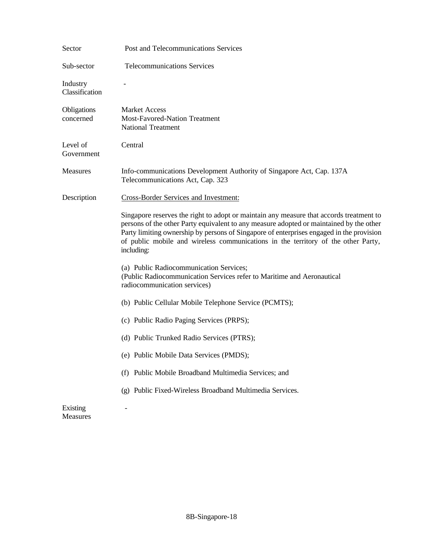| Sector                      | Post and Telecommunications Services                                                                                                                                                                                                                                                                                                                                              |
|-----------------------------|-----------------------------------------------------------------------------------------------------------------------------------------------------------------------------------------------------------------------------------------------------------------------------------------------------------------------------------------------------------------------------------|
| Sub-sector                  | <b>Telecommunications Services</b>                                                                                                                                                                                                                                                                                                                                                |
| Industry<br>Classification  |                                                                                                                                                                                                                                                                                                                                                                                   |
| Obligations<br>concerned    | <b>Market Access</b><br>Most-Favored-Nation Treatment<br><b>National Treatment</b>                                                                                                                                                                                                                                                                                                |
| Level of<br>Government      | Central                                                                                                                                                                                                                                                                                                                                                                           |
| Measures                    | Info-communications Development Authority of Singapore Act, Cap. 137A<br>Telecommunications Act, Cap. 323                                                                                                                                                                                                                                                                         |
| Description                 | <b>Cross-Border Services and Investment:</b>                                                                                                                                                                                                                                                                                                                                      |
|                             | Singapore reserves the right to adopt or maintain any measure that accords treatment to<br>persons of the other Party equivalent to any measure adopted or maintained by the other<br>Party limiting ownership by persons of Singapore of enterprises engaged in the provision<br>of public mobile and wireless communications in the territory of the other Party,<br>including: |
|                             | (a) Public Radiocommunication Services;<br>(Public Radiocommunication Services refer to Maritime and Aeronautical<br>radiocommunication services)                                                                                                                                                                                                                                 |
|                             | (b) Public Cellular Mobile Telephone Service (PCMTS);                                                                                                                                                                                                                                                                                                                             |
|                             | (c) Public Radio Paging Services (PRPS);                                                                                                                                                                                                                                                                                                                                          |
|                             | (d) Public Trunked Radio Services (PTRS);                                                                                                                                                                                                                                                                                                                                         |
|                             | (e) Public Mobile Data Services (PMDS);                                                                                                                                                                                                                                                                                                                                           |
|                             | (f) Public Mobile Broadband Multimedia Services; and                                                                                                                                                                                                                                                                                                                              |
|                             | (g) Public Fixed-Wireless Broadband Multimedia Services.                                                                                                                                                                                                                                                                                                                          |
| Existing<br><b>Measures</b> |                                                                                                                                                                                                                                                                                                                                                                                   |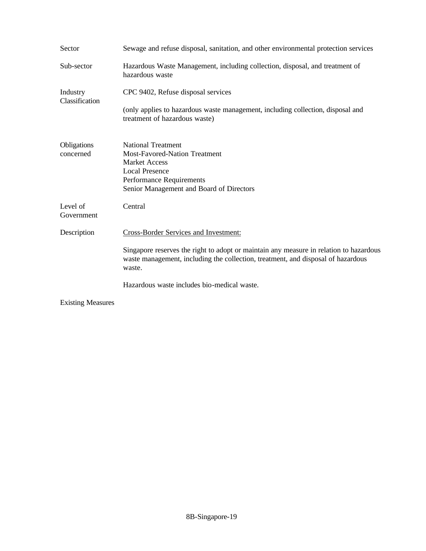| Sector                     | Sewage and refuse disposal, sanitation, and other environmental protection services                                                                                                        |
|----------------------------|--------------------------------------------------------------------------------------------------------------------------------------------------------------------------------------------|
| Sub-sector                 | Hazardous Waste Management, including collection, disposal, and treatment of<br>hazardous waste                                                                                            |
| Industry<br>Classification | CPC 9402, Refuse disposal services                                                                                                                                                         |
|                            | (only applies to hazardous waste management, including collection, disposal and<br>treatment of hazardous waste)                                                                           |
| Obligations<br>concerned   | <b>National Treatment</b><br><b>Most-Favored-Nation Treatment</b><br><b>Market Access</b><br><b>Local Presence</b><br>Performance Requirements<br>Senior Management and Board of Directors |
| Level of<br>Government     | Central                                                                                                                                                                                    |
| Description                | <b>Cross-Border Services and Investment:</b>                                                                                                                                               |
|                            | Singapore reserves the right to adopt or maintain any measure in relation to hazardous<br>waste management, including the collection, treatment, and disposal of hazardous<br>waste.       |
|                            | Hazardous waste includes bio-medical waste.                                                                                                                                                |
| <b>Existing Measures</b>   |                                                                                                                                                                                            |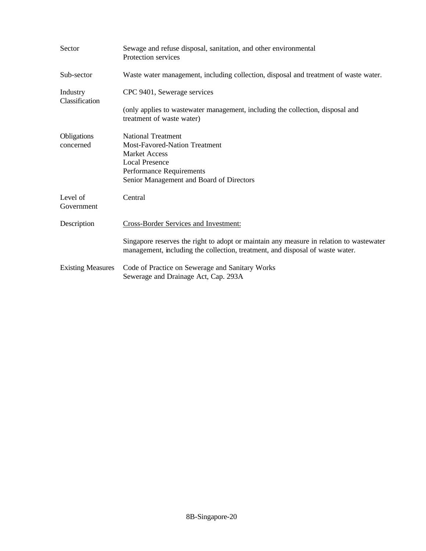| Sector                     | Sewage and refuse disposal, sanitation, and other environmental<br>Protection services                                                                                                     |
|----------------------------|--------------------------------------------------------------------------------------------------------------------------------------------------------------------------------------------|
| Sub-sector                 | Waste water management, including collection, disposal and treatment of waste water.                                                                                                       |
| Industry<br>Classification | CPC 9401, Sewerage services                                                                                                                                                                |
|                            | (only applies to wastewater management, including the collection, disposal and<br>treatment of waste water)                                                                                |
| Obligations<br>concerned   | <b>National Treatment</b><br><b>Most-Favored-Nation Treatment</b><br><b>Market Access</b><br><b>Local Presence</b><br>Performance Requirements<br>Senior Management and Board of Directors |
| Level of<br>Government     | Central                                                                                                                                                                                    |
| Description                | Cross-Border Services and Investment:                                                                                                                                                      |
|                            | Singapore reserves the right to adopt or maintain any measure in relation to wastewater<br>management, including the collection, treatment, and disposal of waste water.                   |
| <b>Existing Measures</b>   | Code of Practice on Sewerage and Sanitary Works<br>Sewerage and Drainage Act, Cap. 293A                                                                                                    |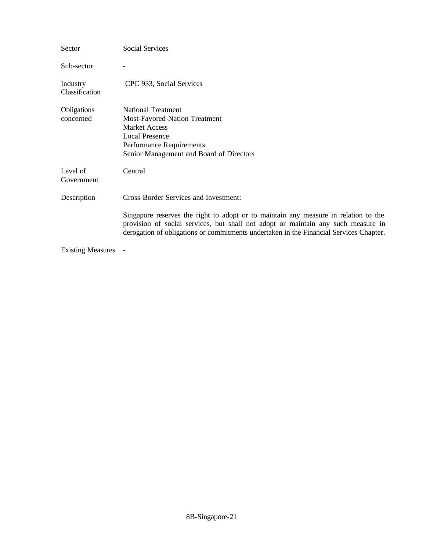| Sector                     | Social Services                                                                                                                                                                                                                                                                                                    |
|----------------------------|--------------------------------------------------------------------------------------------------------------------------------------------------------------------------------------------------------------------------------------------------------------------------------------------------------------------|
| Sub-sector                 |                                                                                                                                                                                                                                                                                                                    |
| Industry<br>Classification | CPC 933, Social Services                                                                                                                                                                                                                                                                                           |
| Obligations<br>concerned   | <b>National Treatment</b><br><b>Most-Favored-Nation Treatment</b><br><b>Market Access</b><br><b>Local Presence</b><br>Performance Requirements<br>Senior Management and Board of Directors                                                                                                                         |
| Level of<br>Government     | Central                                                                                                                                                                                                                                                                                                            |
| Description                | <b>Cross-Border Services and Investment:</b><br>Singapore reserves the right to adopt or to maintain any measure in relation to the<br>provision of social services, but shall not adopt or maintain any such measure in<br>derogation of obligations or commitments undertaken in the Financial Services Chapter. |
| <b>Existing Measures</b>   |                                                                                                                                                                                                                                                                                                                    |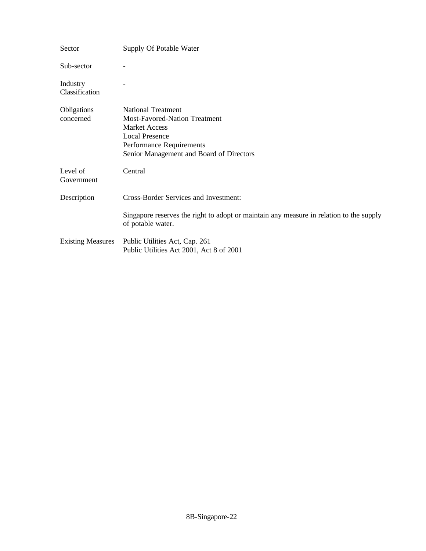| Sector                     | Supply Of Potable Water                                                                                                                                                             |
|----------------------------|-------------------------------------------------------------------------------------------------------------------------------------------------------------------------------------|
| Sub-sector                 |                                                                                                                                                                                     |
| Industry<br>Classification |                                                                                                                                                                                     |
| Obligations<br>concerned   | <b>National Treatment</b><br>Most-Favored-Nation Treatment<br><b>Market Access</b><br><b>Local Presence</b><br>Performance Requirements<br>Senior Management and Board of Directors |
| Level of<br>Government     | Central                                                                                                                                                                             |
| Description                | <b>Cross-Border Services and Investment:</b>                                                                                                                                        |
|                            | Singapore reserves the right to adopt or maintain any measure in relation to the supply<br>of potable water.                                                                        |
| <b>Existing Measures</b>   | Public Utilities Act, Cap. 261<br>Public Utilities Act 2001, Act 8 of 2001                                                                                                          |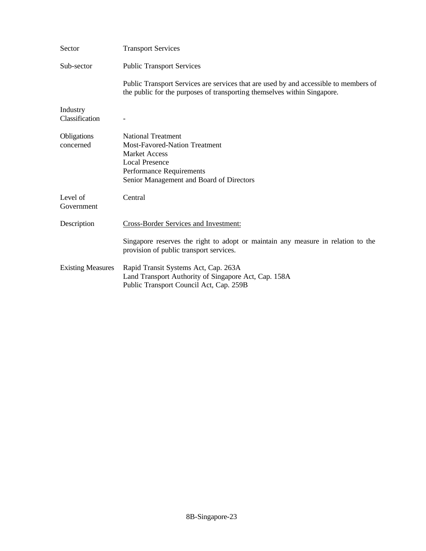| Sector                     | <b>Transport Services</b>                                                                                                                                                                  |
|----------------------------|--------------------------------------------------------------------------------------------------------------------------------------------------------------------------------------------|
| Sub-sector                 | <b>Public Transport Services</b>                                                                                                                                                           |
|                            | Public Transport Services are services that are used by and accessible to members of<br>the public for the purposes of transporting themselves within Singapore.                           |
| Industry<br>Classification |                                                                                                                                                                                            |
| Obligations<br>concerned   | <b>National Treatment</b><br><b>Most-Favored-Nation Treatment</b><br><b>Market Access</b><br><b>Local Presence</b><br>Performance Requirements<br>Senior Management and Board of Directors |
| Level of<br>Government     | Central                                                                                                                                                                                    |
| Description                | <b>Cross-Border Services and Investment:</b>                                                                                                                                               |
|                            | Singapore reserves the right to adopt or maintain any measure in relation to the<br>provision of public transport services.                                                                |
| <b>Existing Measures</b>   | Rapid Transit Systems Act, Cap. 263A<br>Land Transport Authority of Singapore Act, Cap. 158A<br>Public Transport Council Act, Cap. 259B                                                    |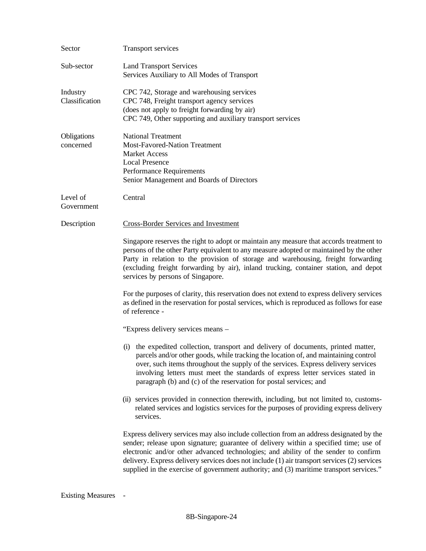| Sector                     | Transport services                                                                                                                                                                                                                                                                                                                                                                                                                                                 |
|----------------------------|--------------------------------------------------------------------------------------------------------------------------------------------------------------------------------------------------------------------------------------------------------------------------------------------------------------------------------------------------------------------------------------------------------------------------------------------------------------------|
| Sub-sector                 | <b>Land Transport Services</b><br>Services Auxiliary to All Modes of Transport                                                                                                                                                                                                                                                                                                                                                                                     |
| Industry<br>Classification | CPC 742, Storage and warehousing services<br>CPC 748, Freight transport agency services<br>(does not apply to freight forwarding by air)<br>CPC 749, Other supporting and auxiliary transport services                                                                                                                                                                                                                                                             |
| Obligations<br>concerned   | <b>National Treatment</b><br><b>Most-Favored-Nation Treatment</b><br><b>Market Access</b><br><b>Local Presence</b><br>Performance Requirements<br>Senior Management and Boards of Directors                                                                                                                                                                                                                                                                        |
| Level of<br>Government     | Central                                                                                                                                                                                                                                                                                                                                                                                                                                                            |
| Description                | <b>Cross-Border Services and Investment</b>                                                                                                                                                                                                                                                                                                                                                                                                                        |
|                            | Singapore reserves the right to adopt or maintain any measure that accords treatment to<br>persons of the other Party equivalent to any measure adopted or maintained by the other<br>Party in relation to the provision of storage and warehousing, freight forwarding<br>(excluding freight forwarding by air), inland trucking, container station, and depot<br>services by persons of Singapore.                                                               |
|                            | For the purposes of clarity, this reservation does not extend to express delivery services<br>as defined in the reservation for postal services, which is reproduced as follows for ease<br>of reference -                                                                                                                                                                                                                                                         |
|                            | "Express delivery services means –                                                                                                                                                                                                                                                                                                                                                                                                                                 |
|                            | (i) the expedited collection, transport and delivery of documents, printed matter,<br>parcels and/or other goods, while tracking the location of, and maintaining control<br>over, such items throughout the supply of the services. Express delivery services<br>involving letters must meet the standards of express letter services stated in<br>paragraph (b) and (c) of the reservation for postal services; and                                              |
|                            | (ii) services provided in connection therewith, including, but not limited to, customs-<br>related services and logistics services for the purposes of providing express delivery<br>services.                                                                                                                                                                                                                                                                     |
|                            | Express delivery services may also include collection from an address designated by the<br>sender; release upon signature; guarantee of delivery within a specified time; use of<br>electronic and/or other advanced technologies; and ability of the sender to confirm<br>delivery. Express delivery services does not include (1) air transport services (2) services<br>supplied in the exercise of government authority; and (3) maritime transport services." |